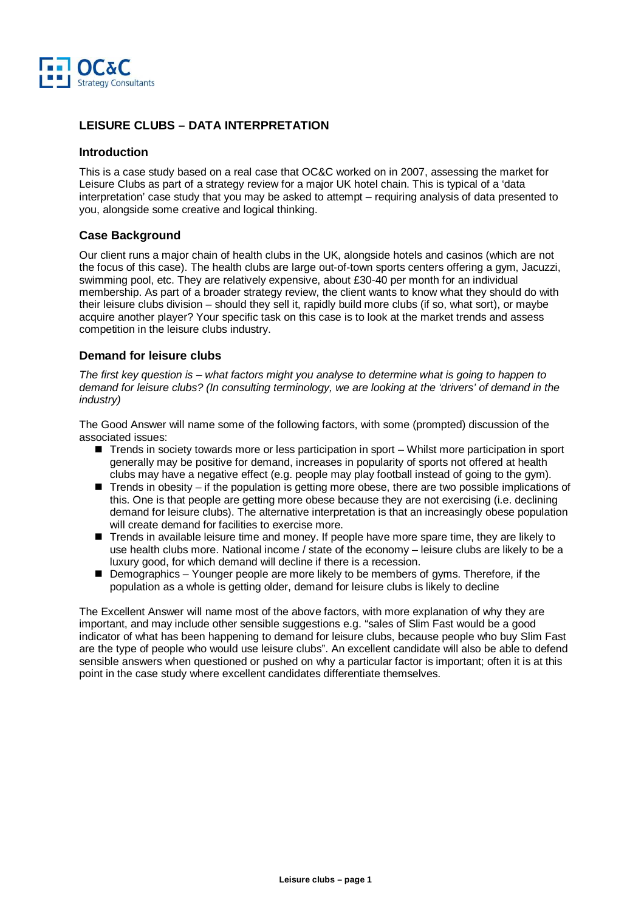

# **LEISURE CLUBS – DATA INTERPRETATION**

### **Introduction**

This is a case study based on a real case that OC&C worked on in 2007, assessing the market for Leisure Clubs as part of a strategy review for a major UK hotel chain. This is typical of a 'data interpretation' case study that you may be asked to attempt – requiring analysis of data presented to you, alongside some creative and logical thinking.

## **Case Background**

Our client runs a major chain of health clubs in the UK, alongside hotels and casinos (which are not the focus of this case). The health clubs are large out-of-town sports centers offering a gym, Jacuzzi, swimming pool, etc. They are relatively expensive, about £30-40 per month for an individual membership. As part of a broader strategy review, the client wants to know what they should do with their leisure clubs division – should they sell it, rapidly build more clubs (if so, what sort), or maybe acquire another player? Your specific task on this case is to look at the market trends and assess competition in the leisure clubs industry.

## **Demand for leisure clubs**

The first key question is – what factors might you analyse to determine what is going to happen to demand for leisure clubs? (In consulting terminology, we are looking at the 'drivers' of demand in the industry)

The Good Answer will name some of the following factors, with some (prompted) discussion of the associated issues:

- Trends in society towards more or less participation in sport Whilst more participation in sport generally may be positive for demand, increases in popularity of sports not offered at health clubs may have a negative effect (e.g. people may play football instead of going to the gym).
- $\blacksquare$  Trends in obesity if the population is getting more obese, there are two possible implications of this. One is that people are getting more obese because they are not exercising (i.e. declining demand for leisure clubs). The alternative interpretation is that an increasingly obese population will create demand for facilities to exercise more.
- Trends in available leisure time and money. If people have more spare time, they are likely to use health clubs more. National income / state of the economy – leisure clubs are likely to be a luxury good, for which demand will decline if there is a recession.
- Demographics Younger people are more likely to be members of gyms. Therefore, if the population as a whole is getting older, demand for leisure clubs is likely to decline

The Excellent Answer will name most of the above factors, with more explanation of why they are important, and may include other sensible suggestions e.g. "sales of Slim Fast would be a good indicator of what has been happening to demand for leisure clubs, because people who buy Slim Fast are the type of people who would use leisure clubs". An excellent candidate will also be able to defend sensible answers when questioned or pushed on why a particular factor is important; often it is at this point in the case study where excellent candidates differentiate themselves.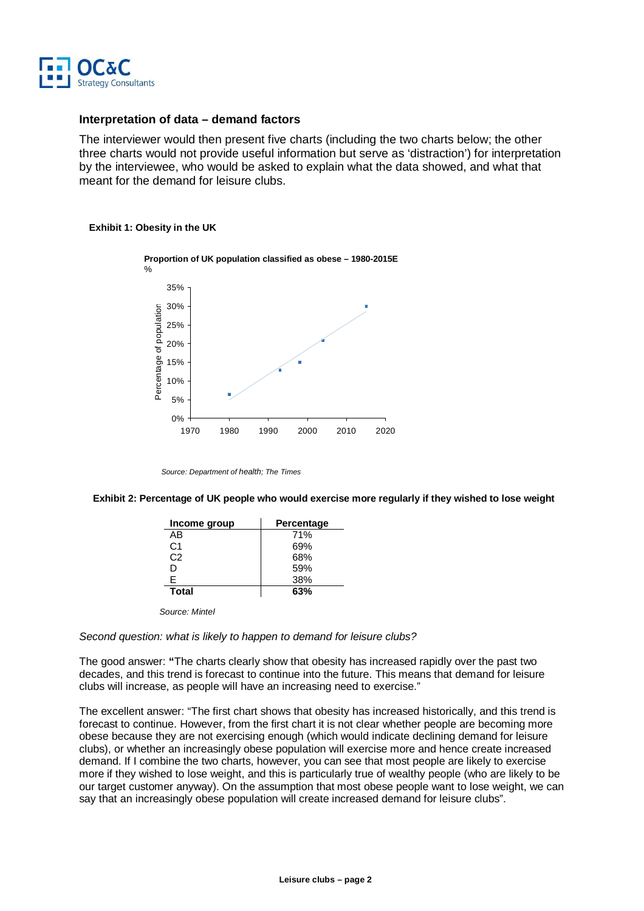

### **Interpretation of data – demand factors**

The interviewer would then present five charts (including the two charts below; the other three charts would not provide useful information but serve as 'distraction') for interpretation by the interviewee, who would be asked to explain what the data showed, and what that meant for the demand for leisure clubs.

#### **Exhibit 1: Obesity in the UK**



**Proportion of UK population classified as obese – 1980-2015E**

Source: Department of health; The Times

#### **Exhibit 2: Percentage of UK people who would exercise more regularly if they wished to lose weight**

| Income group   | Percentage |
|----------------|------------|
| AB             | 71%        |
| C <sub>1</sub> | 69%        |
| C2             | 68%        |
| D              | 59%        |
| F              | 38%        |
| <b>Total</b>   | 63%        |

Source: Mintel

#### Second question: what is likely to happen to demand for leisure clubs?

The good answer: **"**The charts clearly show that obesity has increased rapidly over the past two decades, and this trend is forecast to continue into the future. This means that demand for leisure clubs will increase, as people will have an increasing need to exercise."

The excellent answer: "The first chart shows that obesity has increased historically, and this trend is forecast to continue. However, from the first chart it is not clear whether people are becoming more obese because they are not exercising enough (which would indicate declining demand for leisure clubs), or whether an increasingly obese population will exercise more and hence create increased demand. If I combine the two charts, however, you can see that most people are likely to exercise more if they wished to lose weight, and this is particularly true of wealthy people (who are likely to be our target customer anyway). On the assumption that most obese people want to lose weight, we can say that an increasingly obese population will create increased demand for leisure clubs".